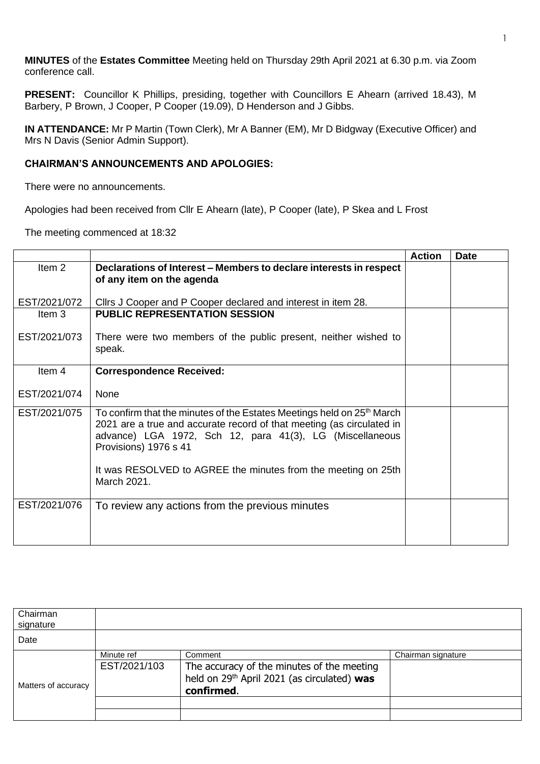**MINUTES** of the **Estates Committee** Meeting held on Thursday 29th April 2021 at 6.30 p.m. via Zoom conference call.

**PRESENT:** Councillor K Phillips, presiding, together with Councillors E Ahearn (arrived 18.43), M Barbery, P Brown, J Cooper, P Cooper (19.09), D Henderson and J Gibbs.

**IN ATTENDANCE:** Mr P Martin (Town Clerk), Mr A Banner (EM), Mr D Bidgway (Executive Officer) and Mrs N Davis (Senior Admin Support).

## **CHAIRMAN'S ANNOUNCEMENTS AND APOLOGIES:**

There were no announcements.

Apologies had been received from Cllr E Ahearn (late), P Cooper (late), P Skea and L Frost

The meeting commenced at 18:32

|                   |                                                                                                                                                                                                                                                                                                                                  | <b>Action</b> | <b>Date</b> |
|-------------------|----------------------------------------------------------------------------------------------------------------------------------------------------------------------------------------------------------------------------------------------------------------------------------------------------------------------------------|---------------|-------------|
| Item <sub>2</sub> | Declarations of Interest – Members to declare interests in respect<br>of any item on the agenda                                                                                                                                                                                                                                  |               |             |
| EST/2021/072      | Clirs J Cooper and P Cooper declared and interest in item 28.                                                                                                                                                                                                                                                                    |               |             |
| Item <sub>3</sub> | <b>PUBLIC REPRESENTATION SESSION</b>                                                                                                                                                                                                                                                                                             |               |             |
| EST/2021/073      | There were two members of the public present, neither wished to<br>speak.                                                                                                                                                                                                                                                        |               |             |
| Item 4            | <b>Correspondence Received:</b>                                                                                                                                                                                                                                                                                                  |               |             |
| EST/2021/074      | None                                                                                                                                                                                                                                                                                                                             |               |             |
| EST/2021/075      | To confirm that the minutes of the Estates Meetings held on 25 <sup>th</sup> March<br>2021 are a true and accurate record of that meeting (as circulated in<br>advance) LGA 1972, Sch 12, para 41(3), LG (Miscellaneous<br>Provisions) 1976 s 41<br>It was RESOLVED to AGREE the minutes from the meeting on 25th<br>March 2021. |               |             |
|                   |                                                                                                                                                                                                                                                                                                                                  |               |             |
| EST/2021/076      | To review any actions from the previous minutes                                                                                                                                                                                                                                                                                  |               |             |

| Chairman<br>signature |              |                                                                                                                     |                    |
|-----------------------|--------------|---------------------------------------------------------------------------------------------------------------------|--------------------|
| Date                  |              |                                                                                                                     |                    |
|                       | Minute ref   | Comment                                                                                                             | Chairman signature |
| Matters of accuracy   | EST/2021/103 | The accuracy of the minutes of the meeting<br>held on 29 <sup>th</sup> April 2021 (as circulated) was<br>confirmed. |                    |
|                       |              |                                                                                                                     |                    |
|                       |              |                                                                                                                     |                    |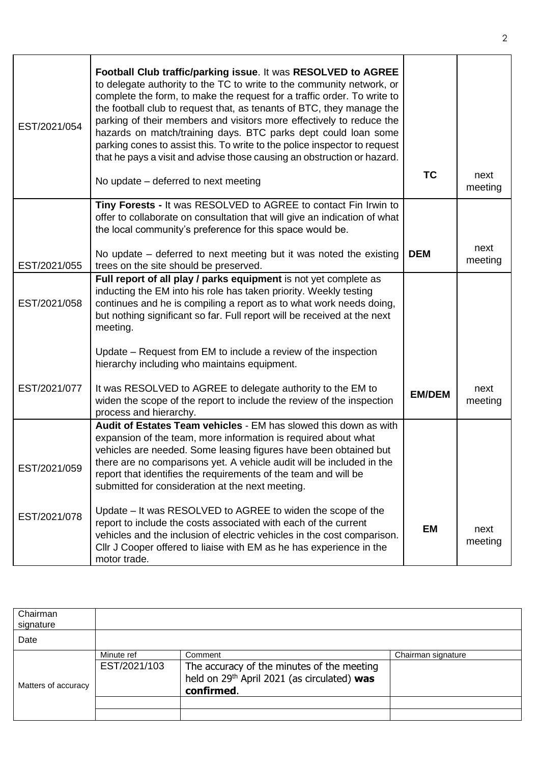| EST/2021/054 | Football Club traffic/parking issue. It was RESOLVED to AGREE<br>to delegate authority to the TC to write to the community network, or<br>complete the form, to make the request for a traffic order. To write to<br>the football club to request that, as tenants of BTC, they manage the<br>parking of their members and visitors more effectively to reduce the<br>hazards on match/training days. BTC parks dept could loan some<br>parking cones to assist this. To write to the police inspector to request<br>that he pays a visit and advise those causing an obstruction or hazard. |               |                 |
|--------------|----------------------------------------------------------------------------------------------------------------------------------------------------------------------------------------------------------------------------------------------------------------------------------------------------------------------------------------------------------------------------------------------------------------------------------------------------------------------------------------------------------------------------------------------------------------------------------------------|---------------|-----------------|
|              | No update – deferred to next meeting                                                                                                                                                                                                                                                                                                                                                                                                                                                                                                                                                         | <b>TC</b>     | next<br>meeting |
|              | Tiny Forests - It was RESOLVED to AGREE to contact Fin Irwin to<br>offer to collaborate on consultation that will give an indication of what<br>the local community's preference for this space would be.                                                                                                                                                                                                                                                                                                                                                                                    |               |                 |
| EST/2021/055 | No update $-$ deferred to next meeting but it was noted the existing<br>trees on the site should be preserved.                                                                                                                                                                                                                                                                                                                                                                                                                                                                               | <b>DEM</b>    | next<br>meeting |
| EST/2021/058 | Full report of all play / parks equipment is not yet complete as<br>inducting the EM into his role has taken priority. Weekly testing<br>continues and he is compiling a report as to what work needs doing,<br>but nothing significant so far. Full report will be received at the next<br>meeting.                                                                                                                                                                                                                                                                                         |               |                 |
|              | Update – Request from EM to include a review of the inspection<br>hierarchy including who maintains equipment.                                                                                                                                                                                                                                                                                                                                                                                                                                                                               |               |                 |
| EST/2021/077 | It was RESOLVED to AGREE to delegate authority to the EM to<br>widen the scope of the report to include the review of the inspection<br>process and hierarchy.                                                                                                                                                                                                                                                                                                                                                                                                                               | <b>EM/DEM</b> | next<br>meeting |
| EST/2021/059 | Audit of Estates Team vehicles - EM has slowed this down as with<br>expansion of the team, more information is required about what<br>vehicles are needed. Some leasing figures have been obtained but<br>there are no comparisons yet. A vehicle audit will be included in the<br>report that identifies the requirements of the team and will be<br>submitted for consideration at the next meeting.                                                                                                                                                                                       |               |                 |
| EST/2021/078 | Update – It was RESOLVED to AGREE to widen the scope of the<br>report to include the costs associated with each of the current<br>vehicles and the inclusion of electric vehicles in the cost comparison.<br>CIIr J Cooper offered to liaise with EM as he has experience in the<br>motor trade.                                                                                                                                                                                                                                                                                             | <b>EM</b>     | next<br>meeting |

| Chairman<br>signature |              |                                                                                                                     |                    |
|-----------------------|--------------|---------------------------------------------------------------------------------------------------------------------|--------------------|
| Date                  |              |                                                                                                                     |                    |
|                       | Minute ref   | Comment                                                                                                             | Chairman signature |
| Matters of accuracy   | EST/2021/103 | The accuracy of the minutes of the meeting<br>held on 29 <sup>th</sup> April 2021 (as circulated) was<br>confirmed. |                    |
|                       |              |                                                                                                                     |                    |
|                       |              |                                                                                                                     |                    |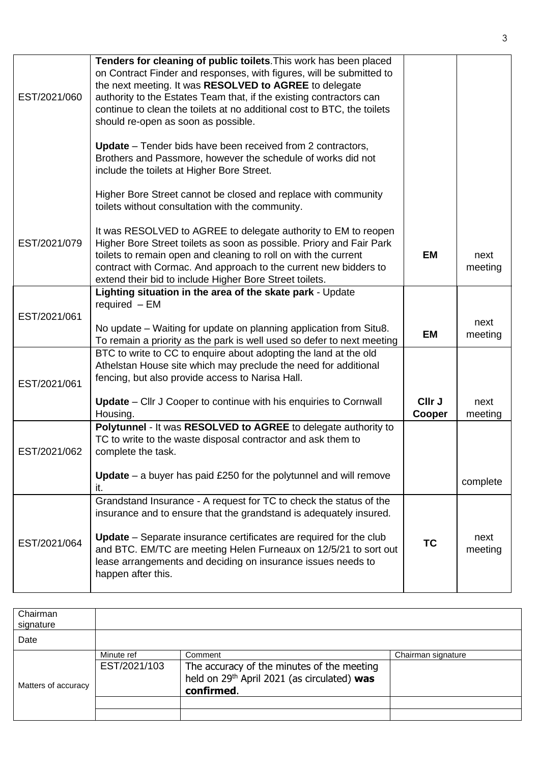| EST/2021/060 | Tenders for cleaning of public toilets. This work has been placed<br>on Contract Finder and responses, with figures, will be submitted to<br>the next meeting. It was RESOLVED to AGREE to delegate<br>authority to the Estates Team that, if the existing contractors can<br>continue to clean the toilets at no additional cost to BTC, the toilets<br>should re-open as soon as possible. |                  |                 |
|--------------|----------------------------------------------------------------------------------------------------------------------------------------------------------------------------------------------------------------------------------------------------------------------------------------------------------------------------------------------------------------------------------------------|------------------|-----------------|
|              | <b>Update</b> – Tender bids have been received from 2 contractors,<br>Brothers and Passmore, however the schedule of works did not<br>include the toilets at Higher Bore Street.                                                                                                                                                                                                             |                  |                 |
|              | Higher Bore Street cannot be closed and replace with community<br>toilets without consultation with the community.                                                                                                                                                                                                                                                                           |                  |                 |
| EST/2021/079 | It was RESOLVED to AGREE to delegate authority to EM to reopen<br>Higher Bore Street toilets as soon as possible. Priory and Fair Park<br>toilets to remain open and cleaning to roll on with the current<br>contract with Cormac. And approach to the current new bidders to<br>extend their bid to include Higher Bore Street toilets.                                                     | <b>EM</b>        | next<br>meeting |
|              | Lighting situation in the area of the skate park - Update<br>$required$ – $EM$                                                                                                                                                                                                                                                                                                               |                  |                 |
| EST/2021/061 | No update – Waiting for update on planning application from Situ8.<br>To remain a priority as the park is well used so defer to next meeting                                                                                                                                                                                                                                                 | <b>EM</b>        | next<br>meeting |
| EST/2021/061 | BTC to write to CC to enquire about adopting the land at the old<br>Athelstan House site which may preclude the need for additional<br>fencing, but also provide access to Narisa Hall.                                                                                                                                                                                                      |                  |                 |
|              | Update - Cllr J Cooper to continue with his enquiries to Cornwall<br>Housing.                                                                                                                                                                                                                                                                                                                | CIIr J<br>Cooper | next<br>meeting |
| EST/2021/062 | Polytunnel - It was RESOLVED to AGREE to delegate authority to<br>TC to write to the waste disposal contractor and ask them to<br>complete the task.                                                                                                                                                                                                                                         |                  |                 |
|              | Update $-$ a buyer has paid £250 for the polytunnel and will remove<br>it.                                                                                                                                                                                                                                                                                                                   |                  | complete        |
|              | Grandstand Insurance - A request for TC to check the status of the<br>insurance and to ensure that the grandstand is adequately insured.                                                                                                                                                                                                                                                     |                  |                 |
| EST/2021/064 | <b>Update</b> – Separate insurance certificates are required for the club<br>and BTC. EM/TC are meeting Helen Furneaux on 12/5/21 to sort out<br>lease arrangements and deciding on insurance issues needs to<br>happen after this.                                                                                                                                                          | ТC               | next<br>meeting |

| Chairman<br>signature |              |                                                                                                         |                    |
|-----------------------|--------------|---------------------------------------------------------------------------------------------------------|--------------------|
| Date                  |              |                                                                                                         |                    |
|                       | Minute ref   | Comment                                                                                                 | Chairman signature |
| Matters of accuracy   | EST/2021/103 | The accuracy of the minutes of the meeting<br>held on 29th April 2021 (as circulated) was<br>confirmed. |                    |
|                       |              |                                                                                                         |                    |
|                       |              |                                                                                                         |                    |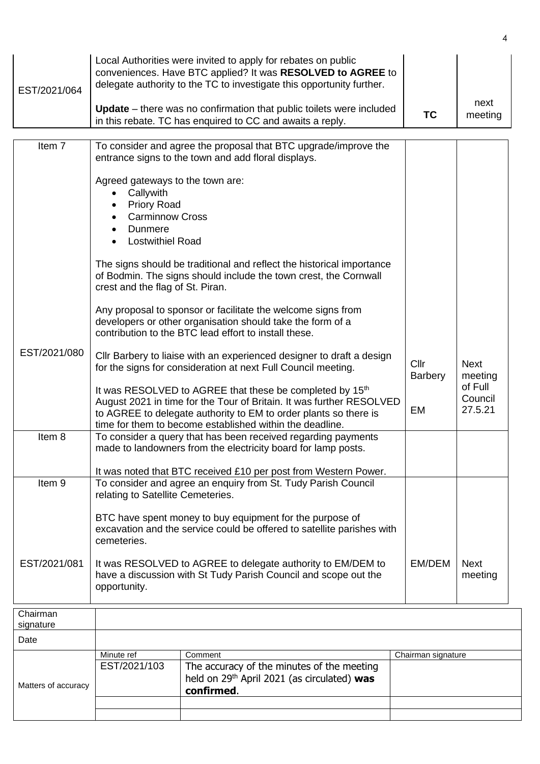| EST/2021/064          |                                                                                                                                                | Local Authorities were invited to apply for rebates on public<br>conveniences. Have BTC applied? It was RESOLVED to AGREE to<br>delegate authority to the TC to investigate this opportunity further.                                                                        |                        |                               |
|-----------------------|------------------------------------------------------------------------------------------------------------------------------------------------|------------------------------------------------------------------------------------------------------------------------------------------------------------------------------------------------------------------------------------------------------------------------------|------------------------|-------------------------------|
|                       |                                                                                                                                                | <b>Update</b> – there was no confirmation that public toilets were included<br>in this rebate. TC has enquired to CC and awaits a reply.                                                                                                                                     | <b>TC</b>              | next<br>meeting               |
| Item 7                |                                                                                                                                                | To consider and agree the proposal that BTC upgrade/improve the<br>entrance signs to the town and add floral displays.                                                                                                                                                       |                        |                               |
|                       | Agreed gateways to the town are:<br>Callywith<br><b>Priory Road</b><br><b>Carminnow Cross</b><br>Dunmere<br><b>Lostwithiel Road</b>            |                                                                                                                                                                                                                                                                              |                        |                               |
|                       | crest and the flag of St. Piran.                                                                                                               | The signs should be traditional and reflect the historical importance<br>of Bodmin. The signs should include the town crest, the Cornwall                                                                                                                                    |                        |                               |
|                       |                                                                                                                                                | Any proposal to sponsor or facilitate the welcome signs from<br>developers or other organisation should take the form of a<br>contribution to the BTC lead effort to install these.                                                                                          |                        |                               |
| EST/2021/080          |                                                                                                                                                | Cllr Barbery to liaise with an experienced designer to draft a design<br>for the signs for consideration at next Full Council meeting.                                                                                                                                       | Cllr<br><b>Barbery</b> | <b>Next</b><br>meeting        |
|                       |                                                                                                                                                | It was RESOLVED to AGREE that these be completed by 15 <sup>th</sup><br>August 2021 in time for the Tour of Britain. It was further RESOLVED<br>to AGREE to delegate authority to EM to order plants so there is<br>time for them to become established within the deadline. | EM                     | of Full<br>Council<br>27.5.21 |
| Item 8                | To consider a query that has been received regarding payments<br>made to landowners from the electricity board for lamp posts.                 |                                                                                                                                                                                                                                                                              |                        |                               |
|                       |                                                                                                                                                | It was noted that BTC received £10 per post from Western Power.                                                                                                                                                                                                              |                        |                               |
| Item <sub>9</sub>     | relating to Satellite Cemeteries.                                                                                                              | To consider and agree an enquiry from St. Tudy Parish Council                                                                                                                                                                                                                |                        |                               |
|                       | cemeteries.                                                                                                                                    | BTC have spent money to buy equipment for the purpose of<br>excavation and the service could be offered to satellite parishes with                                                                                                                                           |                        |                               |
| EST/2021/081          | It was RESOLVED to AGREE to delegate authority to EM/DEM to<br>have a discussion with St Tudy Parish Council and scope out the<br>opportunity. |                                                                                                                                                                                                                                                                              |                        | <b>Next</b><br>meeting        |
| Chairman<br>signature |                                                                                                                                                |                                                                                                                                                                                                                                                                              |                        |                               |
| Date                  |                                                                                                                                                |                                                                                                                                                                                                                                                                              |                        |                               |
|                       | Minute ref                                                                                                                                     | Comment                                                                                                                                                                                                                                                                      | Chairman signature     |                               |
| Matters of accuracy   | EST/2021/103                                                                                                                                   | The accuracy of the minutes of the meeting<br>held on 29 <sup>th</sup> April 2021 (as circulated) was<br>confirmed.                                                                                                                                                          |                        |                               |
|                       |                                                                                                                                                |                                                                                                                                                                                                                                                                              |                        |                               |

4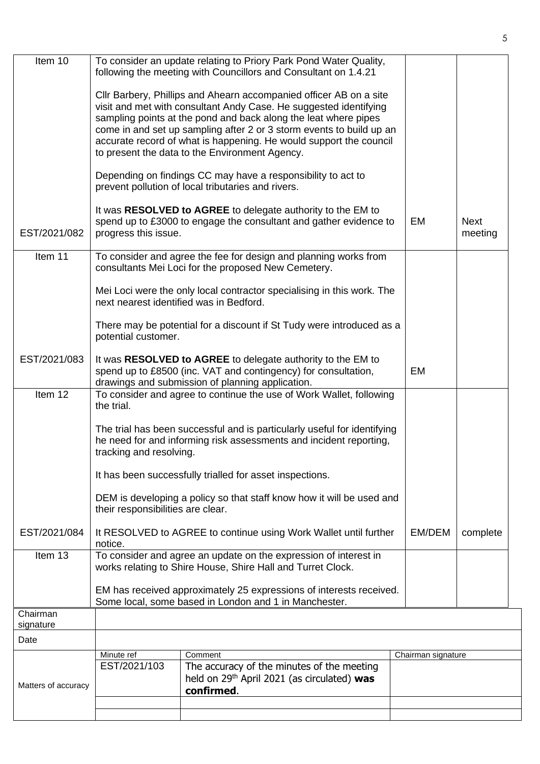| Item 10               | To consider an update relating to Priory Park Pond Water Quality,<br>following the meeting with Councillors and Consultant on 1.4.21                                                                                                                                                                                                                                                                       |                                                                                                                                  |                    |                        |  |  |
|-----------------------|------------------------------------------------------------------------------------------------------------------------------------------------------------------------------------------------------------------------------------------------------------------------------------------------------------------------------------------------------------------------------------------------------------|----------------------------------------------------------------------------------------------------------------------------------|--------------------|------------------------|--|--|
|                       | Cllr Barbery, Phillips and Ahearn accompanied officer AB on a site<br>visit and met with consultant Andy Case. He suggested identifying<br>sampling points at the pond and back along the leat where pipes<br>come in and set up sampling after 2 or 3 storm events to build up an<br>accurate record of what is happening. He would support the council<br>to present the data to the Environment Agency. |                                                                                                                                  |                    |                        |  |  |
|                       |                                                                                                                                                                                                                                                                                                                                                                                                            | Depending on findings CC may have a responsibility to act to<br>prevent pollution of local tributaries and rivers.               |                    |                        |  |  |
| EST/2021/082          | progress this issue.                                                                                                                                                                                                                                                                                                                                                                                       | It was RESOLVED to AGREE to delegate authority to the EM to<br>spend up to £3000 to engage the consultant and gather evidence to | EM                 | <b>Next</b><br>meeting |  |  |
| Item 11               |                                                                                                                                                                                                                                                                                                                                                                                                            | To consider and agree the fee for design and planning works from<br>consultants Mei Loci for the proposed New Cemetery.          |                    |                        |  |  |
|                       | next nearest identified was in Bedford.                                                                                                                                                                                                                                                                                                                                                                    | Mei Loci were the only local contractor specialising in this work. The                                                           |                    |                        |  |  |
|                       | potential customer.                                                                                                                                                                                                                                                                                                                                                                                        | There may be potential for a discount if St Tudy were introduced as a                                                            |                    |                        |  |  |
| EST/2021/083          | It was RESOLVED to AGREE to delegate authority to the EM to<br>spend up to £8500 (inc. VAT and contingency) for consultation,<br>EM<br>drawings and submission of planning application.                                                                                                                                                                                                                    |                                                                                                                                  |                    |                        |  |  |
| Item 12               | To consider and agree to continue the use of Work Wallet, following<br>the trial.                                                                                                                                                                                                                                                                                                                          |                                                                                                                                  |                    |                        |  |  |
|                       | The trial has been successful and is particularly useful for identifying<br>he need for and informing risk assessments and incident reporting,<br>tracking and resolving.                                                                                                                                                                                                                                  |                                                                                                                                  |                    |                        |  |  |
|                       | It has been successfully trialled for asset inspections.                                                                                                                                                                                                                                                                                                                                                   |                                                                                                                                  |                    |                        |  |  |
|                       | DEM is developing a policy so that staff know how it will be used and<br>their responsibilities are clear.                                                                                                                                                                                                                                                                                                 |                                                                                                                                  |                    |                        |  |  |
| EST/2021/084          | EM/DEM<br>It RESOLVED to AGREE to continue using Work Wallet until further<br>complete<br>notice.                                                                                                                                                                                                                                                                                                          |                                                                                                                                  |                    |                        |  |  |
| Item 13               | To consider and agree an update on the expression of interest in<br>works relating to Shire House, Shire Hall and Turret Clock.                                                                                                                                                                                                                                                                            |                                                                                                                                  |                    |                        |  |  |
|                       | EM has received approximately 25 expressions of interests received.<br>Some local, some based in London and 1 in Manchester.                                                                                                                                                                                                                                                                               |                                                                                                                                  |                    |                        |  |  |
| Chairman<br>signature |                                                                                                                                                                                                                                                                                                                                                                                                            |                                                                                                                                  |                    |                        |  |  |
| Date                  |                                                                                                                                                                                                                                                                                                                                                                                                            |                                                                                                                                  |                    |                        |  |  |
|                       | Minute ref<br>EST/2021/103                                                                                                                                                                                                                                                                                                                                                                                 | Comment<br>The accuracy of the minutes of the meeting                                                                            | Chairman signature |                        |  |  |
| Matters of accuracy   |                                                                                                                                                                                                                                                                                                                                                                                                            | held on $29th$ April 2021 (as circulated) was<br>confirmed.                                                                      |                    |                        |  |  |
|                       |                                                                                                                                                                                                                                                                                                                                                                                                            |                                                                                                                                  |                    |                        |  |  |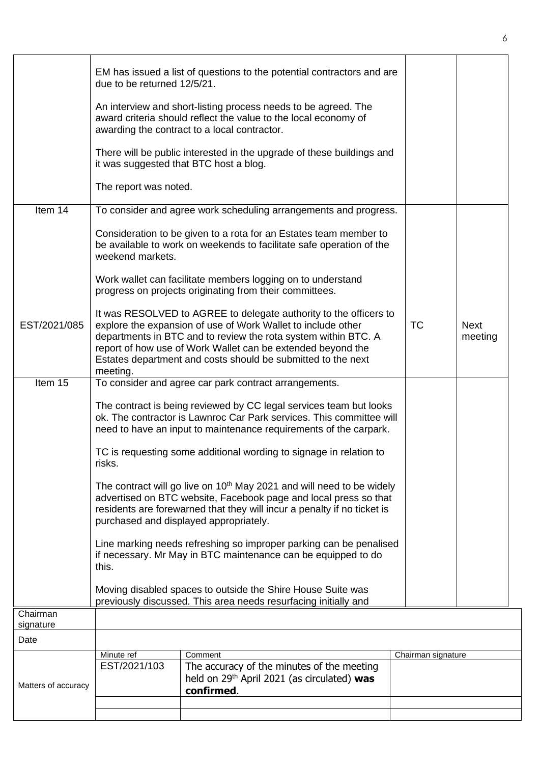|                       | due to be returned 12/5/21. | EM has issued a list of questions to the potential contractors and are                                                                                                                                                                                                                                                             |                    |                        |
|-----------------------|-----------------------------|------------------------------------------------------------------------------------------------------------------------------------------------------------------------------------------------------------------------------------------------------------------------------------------------------------------------------------|--------------------|------------------------|
|                       |                             | An interview and short-listing process needs to be agreed. The<br>award criteria should reflect the value to the local economy of<br>awarding the contract to a local contractor.                                                                                                                                                  |                    |                        |
|                       |                             | There will be public interested in the upgrade of these buildings and<br>it was suggested that BTC host a blog.                                                                                                                                                                                                                    |                    |                        |
|                       | The report was noted.       |                                                                                                                                                                                                                                                                                                                                    |                    |                        |
| Item 14               |                             | To consider and agree work scheduling arrangements and progress.                                                                                                                                                                                                                                                                   |                    |                        |
|                       | weekend markets.            | Consideration to be given to a rota for an Estates team member to<br>be available to work on weekends to facilitate safe operation of the                                                                                                                                                                                          |                    |                        |
|                       |                             | Work wallet can facilitate members logging on to understand<br>progress on projects originating from their committees.                                                                                                                                                                                                             |                    |                        |
| EST/2021/085          | meeting.                    | It was RESOLVED to AGREE to delegate authority to the officers to<br>explore the expansion of use of Work Wallet to include other<br>departments in BTC and to review the rota system within BTC. A<br>report of how use of Work Wallet can be extended beyond the<br>Estates department and costs should be submitted to the next | <b>TC</b>          | <b>Next</b><br>meeting |
| Item 15               |                             | To consider and agree car park contract arrangements.                                                                                                                                                                                                                                                                              |                    |                        |
|                       |                             | The contract is being reviewed by CC legal services team but looks<br>ok. The contractor is Lawnroc Car Park services. This committee will<br>need to have an input to maintenance requirements of the carpark.                                                                                                                    |                    |                        |
|                       | risks.                      | TC is requesting some additional wording to signage in relation to                                                                                                                                                                                                                                                                 |                    |                        |
|                       |                             | The contract will go live on 10 <sup>th</sup> May 2021 and will need to be widely<br>advertised on BTC website, Facebook page and local press so that<br>residents are forewarned that they will incur a penalty if no ticket is<br>purchased and displayed appropriately.                                                         |                    |                        |
|                       | this.                       | Line marking needs refreshing so improper parking can be penalised<br>if necessary. Mr May in BTC maintenance can be equipped to do                                                                                                                                                                                                |                    |                        |
|                       |                             | Moving disabled spaces to outside the Shire House Suite was<br>previously discussed. This area needs resurfacing initially and                                                                                                                                                                                                     |                    |                        |
| Chairman<br>signature |                             |                                                                                                                                                                                                                                                                                                                                    |                    |                        |
| Date                  |                             |                                                                                                                                                                                                                                                                                                                                    |                    |                        |
|                       | Minute ref                  | Comment                                                                                                                                                                                                                                                                                                                            | Chairman signature |                        |
| Matters of accuracy   | EST/2021/103                | The accuracy of the minutes of the meeting<br>held on 29 <sup>th</sup> April 2021 (as circulated) was<br>confirmed.                                                                                                                                                                                                                |                    |                        |
|                       |                             |                                                                                                                                                                                                                                                                                                                                    |                    |                        |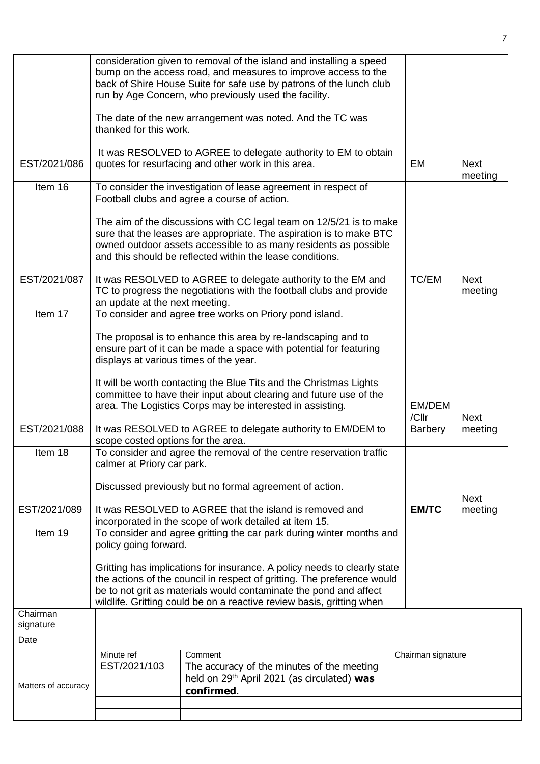|                     | consideration given to removal of the island and installing a speed<br>bump on the access road, and measures to improve access to the<br>back of Shire House Suite for safe use by patrons of the lunch club<br>run by Age Concern, who previously used the facility. |                                                                                                                                                                                                                                                                             |                    |                        |
|---------------------|-----------------------------------------------------------------------------------------------------------------------------------------------------------------------------------------------------------------------------------------------------------------------|-----------------------------------------------------------------------------------------------------------------------------------------------------------------------------------------------------------------------------------------------------------------------------|--------------------|------------------------|
|                     | thanked for this work.                                                                                                                                                                                                                                                | The date of the new arrangement was noted. And the TC was                                                                                                                                                                                                                   |                    |                        |
| EST/2021/086        |                                                                                                                                                                                                                                                                       | It was RESOLVED to AGREE to delegate authority to EM to obtain<br>quotes for resurfacing and other work in this area.                                                                                                                                                       | EM                 | <b>Next</b><br>meeting |
| Item 16             | To consider the investigation of lease agreement in respect of<br>Football clubs and agree a course of action.                                                                                                                                                        |                                                                                                                                                                                                                                                                             |                    |                        |
|                     |                                                                                                                                                                                                                                                                       | The aim of the discussions with CC legal team on 12/5/21 is to make<br>sure that the leases are appropriate. The aspiration is to make BTC<br>owned outdoor assets accessible to as many residents as possible<br>and this should be reflected within the lease conditions. |                    |                        |
| EST/2021/087        | an update at the next meeting.                                                                                                                                                                                                                                        | It was RESOLVED to AGREE to delegate authority to the EM and<br>TC to progress the negotiations with the football clubs and provide                                                                                                                                         | TC/EM              | <b>Next</b><br>meeting |
| Item 17             | To consider and agree tree works on Priory pond island.                                                                                                                                                                                                               |                                                                                                                                                                                                                                                                             |                    |                        |
|                     | The proposal is to enhance this area by re-landscaping and to<br>ensure part of it can be made a space with potential for featuring<br>displays at various times of the year.                                                                                         |                                                                                                                                                                                                                                                                             |                    |                        |
|                     |                                                                                                                                                                                                                                                                       | It will be worth contacting the Blue Tits and the Christmas Lights<br>committee to have their input about clearing and future use of the<br>area. The Logistics Corps may be interested in assisting.                                                                       | EM/DEM<br>/Cllr    | <b>Next</b>            |
| EST/2021/088        | scope costed options for the area.                                                                                                                                                                                                                                    | It was RESOLVED to AGREE to delegate authority to EM/DEM to                                                                                                                                                                                                                 | <b>Barbery</b>     | meeting                |
| Item 18             | To consider and agree the removal of the centre reservation traffic<br>calmer at Priory car park.                                                                                                                                                                     |                                                                                                                                                                                                                                                                             |                    |                        |
|                     |                                                                                                                                                                                                                                                                       | Discussed previously but no formal agreement of action.                                                                                                                                                                                                                     |                    |                        |
| EST/2021/089        |                                                                                                                                                                                                                                                                       | It was RESOLVED to AGREE that the island is removed and<br>incorporated in the scope of work detailed at item 15.                                                                                                                                                           | <b>EM/TC</b>       | <b>Next</b><br>meeting |
| Item 19             | To consider and agree gritting the car park during winter months and<br>policy going forward.                                                                                                                                                                         |                                                                                                                                                                                                                                                                             |                    |                        |
|                     | Gritting has implications for insurance. A policy needs to clearly state<br>the actions of the council in respect of gritting. The preference would<br>be to not grit as materials would contaminate the pond and affect                                              |                                                                                                                                                                                                                                                                             |                    |                        |
| Chairman            |                                                                                                                                                                                                                                                                       | wildlife. Gritting could be on a reactive review basis, gritting when                                                                                                                                                                                                       |                    |                        |
| signature           |                                                                                                                                                                                                                                                                       |                                                                                                                                                                                                                                                                             |                    |                        |
| Date                |                                                                                                                                                                                                                                                                       |                                                                                                                                                                                                                                                                             |                    |                        |
|                     | Minute ref                                                                                                                                                                                                                                                            | Comment                                                                                                                                                                                                                                                                     | Chairman signature |                        |
| Matters of accuracy | EST/2021/103                                                                                                                                                                                                                                                          | The accuracy of the minutes of the meeting<br>held on 29 <sup>th</sup> April 2021 (as circulated) was<br>confirmed.                                                                                                                                                         |                    |                        |
|                     |                                                                                                                                                                                                                                                                       |                                                                                                                                                                                                                                                                             |                    |                        |

7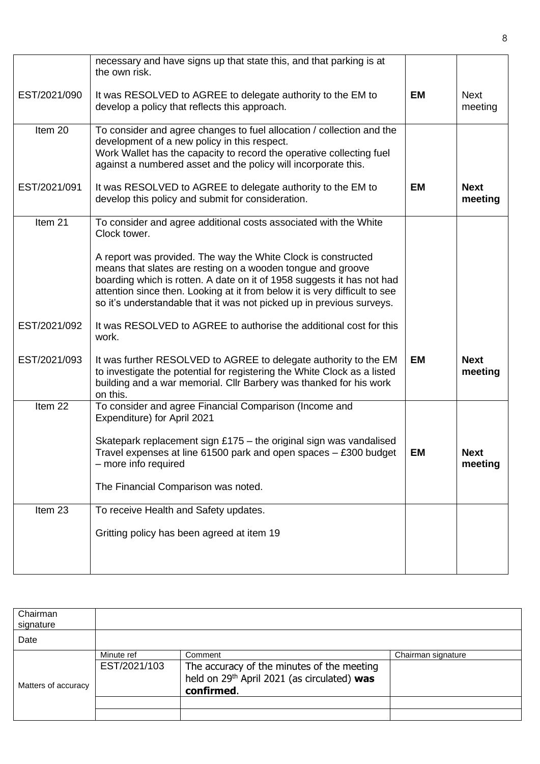|              | necessary and have signs up that state this, and that parking is at<br>the own risk.                                                                                                                                                                                                                                                                          |           |                        |
|--------------|---------------------------------------------------------------------------------------------------------------------------------------------------------------------------------------------------------------------------------------------------------------------------------------------------------------------------------------------------------------|-----------|------------------------|
| EST/2021/090 | It was RESOLVED to AGREE to delegate authority to the EM to<br>develop a policy that reflects this approach.                                                                                                                                                                                                                                                  | EM        | <b>Next</b><br>meeting |
| Item 20      | To consider and agree changes to fuel allocation / collection and the<br>development of a new policy in this respect.<br>Work Wallet has the capacity to record the operative collecting fuel<br>against a numbered asset and the policy will incorporate this.                                                                                               |           |                        |
| EST/2021/091 | It was RESOLVED to AGREE to delegate authority to the EM to<br>develop this policy and submit for consideration.                                                                                                                                                                                                                                              | <b>EM</b> | <b>Next</b><br>meeting |
| Item 21      | To consider and agree additional costs associated with the White<br>Clock tower.                                                                                                                                                                                                                                                                              |           |                        |
|              | A report was provided. The way the White Clock is constructed<br>means that slates are resting on a wooden tongue and groove<br>boarding which is rotten. A date on it of 1958 suggests it has not had<br>attention since then. Looking at it from below it is very difficult to see<br>so it's understandable that it was not picked up in previous surveys. |           |                        |
| EST/2021/092 | It was RESOLVED to AGREE to authorise the additional cost for this<br>work.                                                                                                                                                                                                                                                                                   |           |                        |
| EST/2021/093 | It was further RESOLVED to AGREE to delegate authority to the EM<br>to investigate the potential for registering the White Clock as a listed<br>building and a war memorial. Cllr Barbery was thanked for his work<br>on this.                                                                                                                                | <b>EM</b> | <b>Next</b><br>meeting |
| Item 22      | To consider and agree Financial Comparison (Income and<br>Expenditure) for April 2021                                                                                                                                                                                                                                                                         |           |                        |
|              | Skatepark replacement sign £175 - the original sign was vandalised<br>Travel expenses at line 61500 park and open spaces - £300 budget<br>- more info required                                                                                                                                                                                                | EM        | <b>Next</b><br>meeting |
|              | The Financial Comparison was noted.                                                                                                                                                                                                                                                                                                                           |           |                        |
| Item 23      | To receive Health and Safety updates.                                                                                                                                                                                                                                                                                                                         |           |                        |
|              | Gritting policy has been agreed at item 19                                                                                                                                                                                                                                                                                                                    |           |                        |

| Chairman<br>signature |              |                                                                                                                     |                    |
|-----------------------|--------------|---------------------------------------------------------------------------------------------------------------------|--------------------|
| Date                  |              |                                                                                                                     |                    |
|                       | Minute ref   | Comment                                                                                                             | Chairman signature |
| Matters of accuracy   | EST/2021/103 | The accuracy of the minutes of the meeting<br>held on 29 <sup>th</sup> April 2021 (as circulated) was<br>confirmed. |                    |
|                       |              |                                                                                                                     |                    |
|                       |              |                                                                                                                     |                    |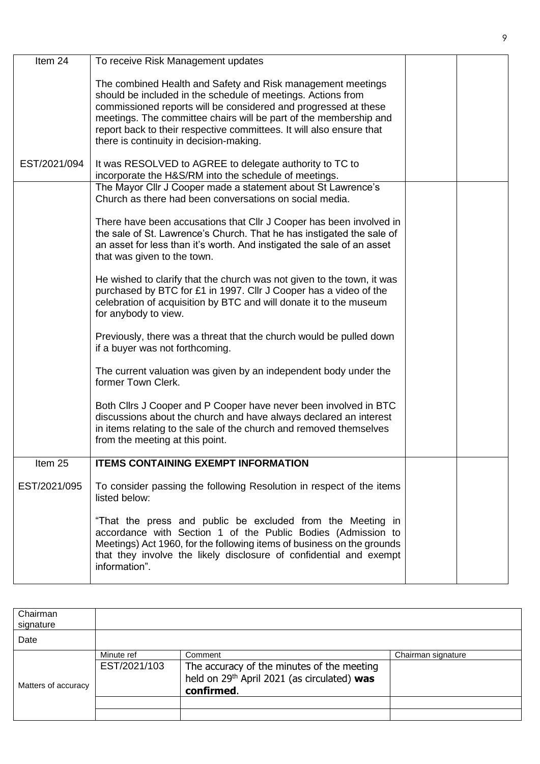| Item 24      | To receive Risk Management updates                                                                                                                                                                                                                                                                                                                                                     |  |
|--------------|----------------------------------------------------------------------------------------------------------------------------------------------------------------------------------------------------------------------------------------------------------------------------------------------------------------------------------------------------------------------------------------|--|
|              | The combined Health and Safety and Risk management meetings<br>should be included in the schedule of meetings. Actions from<br>commissioned reports will be considered and progressed at these<br>meetings. The committee chairs will be part of the membership and<br>report back to their respective committees. It will also ensure that<br>there is continuity in decision-making. |  |
| EST/2021/094 | It was RESOLVED to AGREE to delegate authority to TC to<br>incorporate the H&S/RM into the schedule of meetings.                                                                                                                                                                                                                                                                       |  |
|              | The Mayor Cllr J Cooper made a statement about St Lawrence's<br>Church as there had been conversations on social media.                                                                                                                                                                                                                                                                |  |
|              | There have been accusations that CIIr J Cooper has been involved in<br>the sale of St. Lawrence's Church. That he has instigated the sale of<br>an asset for less than it's worth. And instigated the sale of an asset<br>that was given to the town.                                                                                                                                  |  |
|              | He wished to clarify that the church was not given to the town, it was<br>purchased by BTC for £1 in 1997. Cllr J Cooper has a video of the<br>celebration of acquisition by BTC and will donate it to the museum<br>for anybody to view.                                                                                                                                              |  |
|              | Previously, there was a threat that the church would be pulled down<br>if a buyer was not forthcoming.                                                                                                                                                                                                                                                                                 |  |
|              | The current valuation was given by an independent body under the<br>former Town Clerk.                                                                                                                                                                                                                                                                                                 |  |
|              | Both Cllrs J Cooper and P Cooper have never been involved in BTC<br>discussions about the church and have always declared an interest<br>in items relating to the sale of the church and removed themselves<br>from the meeting at this point.                                                                                                                                         |  |
| Item 25      | <b>ITEMS CONTAINING EXEMPT INFORMATION</b>                                                                                                                                                                                                                                                                                                                                             |  |
| EST/2021/095 | To consider passing the following Resolution in respect of the items<br>listed below:                                                                                                                                                                                                                                                                                                  |  |
|              | "That the press and public be excluded from the Meeting in<br>accordance with Section 1 of the Public Bodies (Admission to<br>Meetings) Act 1960, for the following items of business on the grounds<br>that they involve the likely disclosure of confidential and exempt<br>information".                                                                                            |  |

| Chairman<br>signature |              |                                                                                                         |                    |
|-----------------------|--------------|---------------------------------------------------------------------------------------------------------|--------------------|
| Date                  |              |                                                                                                         |                    |
| Matters of accuracy   | Minute ref   | Comment                                                                                                 | Chairman signature |
|                       | EST/2021/103 | The accuracy of the minutes of the meeting<br>held on 29th April 2021 (as circulated) was<br>confirmed. |                    |
|                       |              |                                                                                                         |                    |
|                       |              |                                                                                                         |                    |